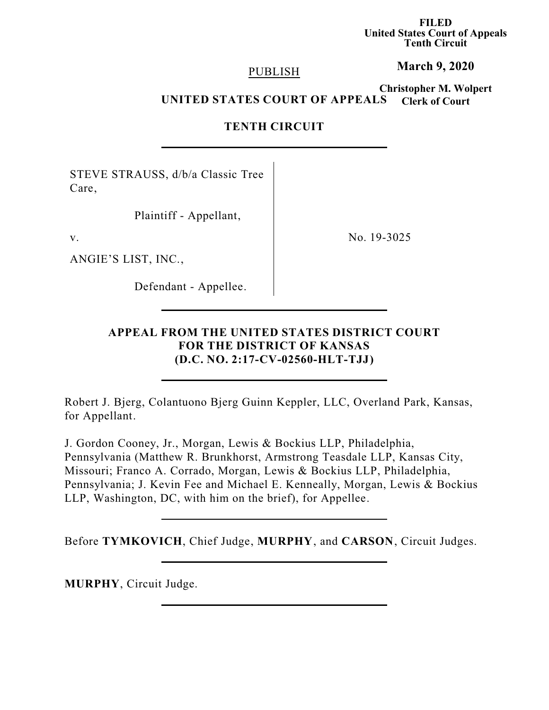**FILED United States Court of Appeals Tenth Circuit**

#### PUBLISH

# **March 9, 2020**

**Christopher M. Wolpert Clerk of Court UNITED STATES COURT OF APPEALS**

## **TENTH CIRCUIT**

STEVE STRAUSS, d/b/a Classic Tree Care,

Plaintiff - Appellant,

ANGIE'S LIST, INC.,

Defendant - Appellee.

v. No. 19-3025

# **APPEAL FROM THE UNITED STATES DISTRICT COURT FOR THE DISTRICT OF KANSAS (D.C. NO. 2:17-CV-02560-HLT-TJJ)**

Robert J. Bjerg, Colantuono Bjerg Guinn Keppler, LLC, Overland Park, Kansas, for Appellant.

J. Gordon Cooney, Jr., Morgan, Lewis & Bockius LLP, Philadelphia, Pennsylvania (Matthew R. Brunkhorst, Armstrong Teasdale LLP, Kansas City, Missouri; Franco A. Corrado, Morgan, Lewis & Bockius LLP, Philadelphia, Pennsylvania; J. Kevin Fee and Michael E. Kenneally, Morgan, Lewis & Bockius LLP, Washington, DC, with him on the brief), for Appellee.

Before **TYMKOVICH**, Chief Judge, **MURPHY**, and **CARSON**, Circuit Judges.

**MURPHY**, Circuit Judge.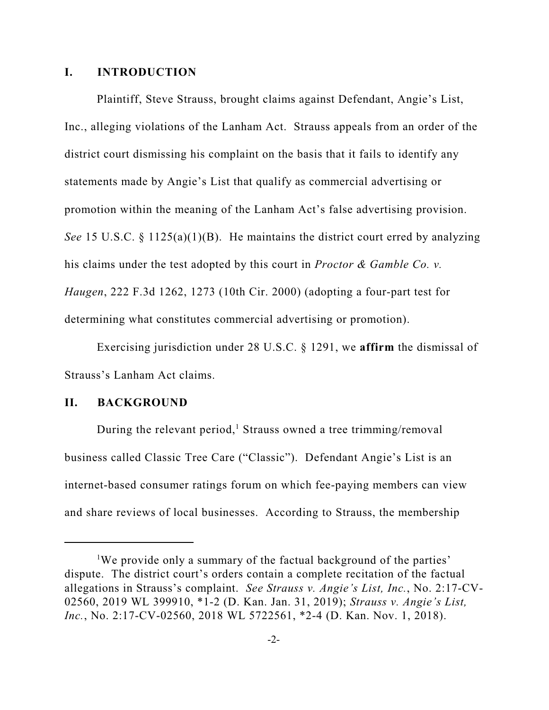## **I. INTRODUCTION**

Plaintiff, Steve Strauss, brought claims against Defendant, Angie's List, Inc., alleging violations of the Lanham Act. Strauss appeals from an order of the district court dismissing his complaint on the basis that it fails to identify any statements made by Angie's List that qualify as commercial advertising or promotion within the meaning of the Lanham Act's false advertising provision. *See* 15 U.S.C. § 1125(a)(1)(B). He maintains the district court erred by analyzing his claims under the test adopted by this court in *Proctor & Gamble Co. v. Haugen*, 222 F.3d 1262, 1273 (10th Cir. 2000) (adopting a four-part test for determining what constitutes commercial advertising or promotion).

Exercising jurisdiction under 28 U.S.C. § 1291, we **affirm** the dismissal of Strauss's Lanham Act claims.

### **II. BACKGROUND**

During the relevant period,<sup>1</sup> Strauss owned a tree trimming/removal business called Classic Tree Care ("Classic"). Defendant Angie's List is an internet-based consumer ratings forum on which fee-paying members can view and share reviews of local businesses. According to Strauss, the membership

<sup>&</sup>lt;sup>1</sup>We provide only a summary of the factual background of the parties' dispute. The district court's orders contain a complete recitation of the factual allegations in Strauss's complaint. *See Strauss v. Angie's List, Inc.*, No. 2:17-CV-02560, 2019 WL 399910, \*1-2 (D. Kan. Jan. 31, 2019); *Strauss v. Angie's List, Inc.*, No. 2:17-CV-02560, 2018 WL 5722561, \*2-4 (D. Kan. Nov. 1, 2018).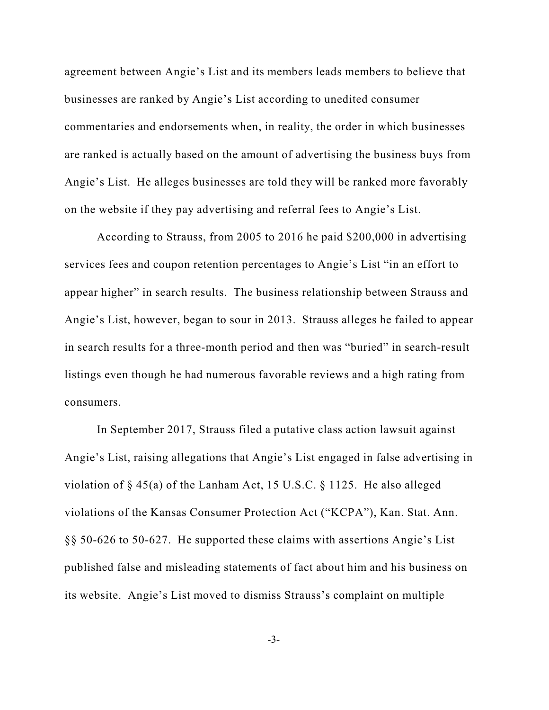agreement between Angie's List and its members leads members to believe that businesses are ranked by Angie's List according to unedited consumer commentaries and endorsements when, in reality, the order in which businesses are ranked is actually based on the amount of advertising the business buys from Angie's List. He alleges businesses are told they will be ranked more favorably on the website if they pay advertising and referral fees to Angie's List.

According to Strauss, from 2005 to 2016 he paid \$200,000 in advertising services fees and coupon retention percentages to Angie's List "in an effort to appear higher" in search results. The business relationship between Strauss and Angie's List, however, began to sour in 2013. Strauss alleges he failed to appear in search results for a three-month period and then was "buried" in search-result listings even though he had numerous favorable reviews and a high rating from consumers.

In September 2017, Strauss filed a putative class action lawsuit against Angie's List, raising allegations that Angie's List engaged in false advertising in violation of § 45(a) of the Lanham Act, 15 U.S.C. § 1125. He also alleged violations of the Kansas Consumer Protection Act ("KCPA"), Kan. Stat. Ann. §§ 50-626 to 50-627. He supported these claims with assertions Angie's List published false and misleading statements of fact about him and his business on its website. Angie's List moved to dismiss Strauss's complaint on multiple

-3-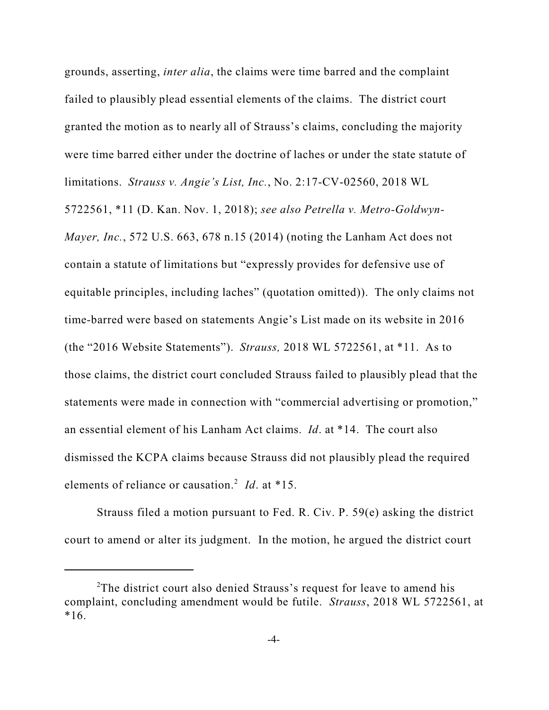grounds, asserting, *inter alia*, the claims were time barred and the complaint failed to plausibly plead essential elements of the claims. The district court granted the motion as to nearly all of Strauss's claims, concluding the majority were time barred either under the doctrine of laches or under the state statute of limitations. *Strauss v. Angie's List, Inc.*, No. 2:17-CV-02560, 2018 WL 5722561, \*11 (D. Kan. Nov. 1, 2018); *see also Petrella v. Metro-Goldwyn-Mayer, Inc.*, 572 U.S. 663, 678 n.15 (2014) (noting the Lanham Act does not contain a statute of limitations but "expressly provides for defensive use of equitable principles, including laches" (quotation omitted)). The only claims not time-barred were based on statements Angie's List made on its website in 2016 (the "2016 Website Statements"). *Strauss,* 2018 WL 5722561, at \*11. As to those claims, the district court concluded Strauss failed to plausibly plead that the statements were made in connection with "commercial advertising or promotion," an essential element of his Lanham Act claims. *Id*. at \*14. The court also dismissed the KCPA claims because Strauss did not plausibly plead the required elements of reliance or causation.<sup>2</sup> *Id*. at \*15.

Strauss filed a motion pursuant to Fed. R. Civ. P. 59(e) asking the district court to amend or alter its judgment. In the motion, he argued the district court

<sup>&</sup>lt;sup>2</sup>The district court also denied Strauss's request for leave to amend his complaint, concluding amendment would be futile. *Strauss*, 2018 WL 5722561, at  $*16.$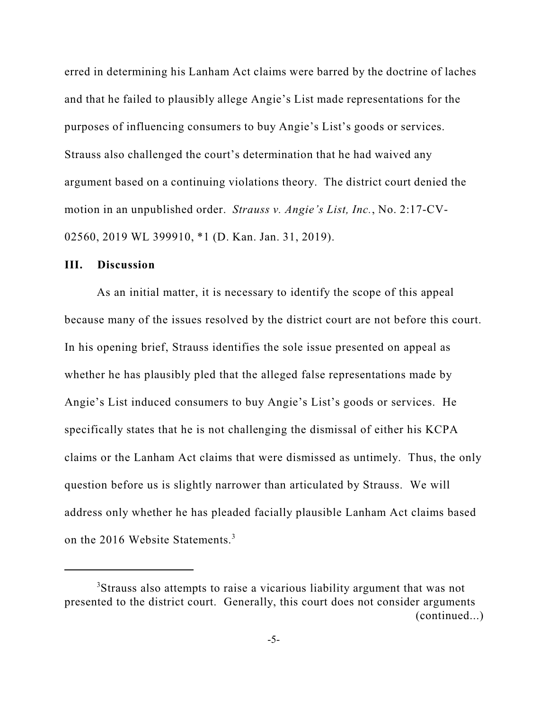erred in determining his Lanham Act claims were barred by the doctrine of laches and that he failed to plausibly allege Angie's List made representations for the purposes of influencing consumers to buy Angie's List's goods or services. Strauss also challenged the court's determination that he had waived any argument based on a continuing violations theory. The district court denied the motion in an unpublished order. *Strauss v. Angie's List, Inc.*, No. 2:17-CV-02560, 2019 WL 399910, \*1 (D. Kan. Jan. 31, 2019).

#### **III. Discussion**

As an initial matter, it is necessary to identify the scope of this appeal because many of the issues resolved by the district court are not before this court. In his opening brief, Strauss identifies the sole issue presented on appeal as whether he has plausibly pled that the alleged false representations made by Angie's List induced consumers to buy Angie's List's goods or services. He specifically states that he is not challenging the dismissal of either his KCPA claims or the Lanham Act claims that were dismissed as untimely. Thus, the only question before us is slightly narrower than articulated by Strauss. We will address only whether he has pleaded facially plausible Lanham Act claims based on the 2016 Website Statements.<sup>3</sup>

<sup>&</sup>lt;sup>3</sup>Strauss also attempts to raise a vicarious liability argument that was not presented to the district court. Generally, this court does not consider arguments (continued...)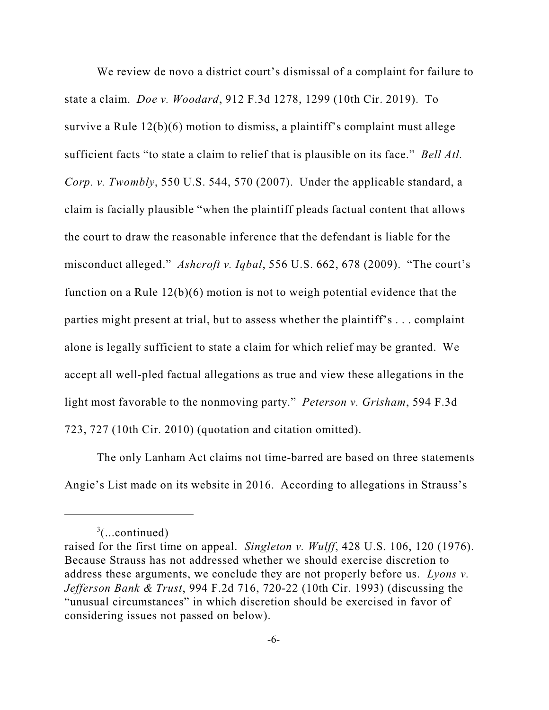We review de novo a district court's dismissal of a complaint for failure to state a claim. *Doe v. Woodard*, 912 F.3d 1278, 1299 (10th Cir. 2019). To survive a Rule 12(b)(6) motion to dismiss, a plaintiff's complaint must allege sufficient facts "to state a claim to relief that is plausible on its face." *Bell Atl. Corp. v. Twombly*, 550 U.S. 544, 570 (2007). Under the applicable standard, a claim is facially plausible "when the plaintiff pleads factual content that allows the court to draw the reasonable inference that the defendant is liable for the misconduct alleged." *Ashcroft v. Iqbal*, 556 U.S. 662, 678 (2009). "The court's function on a Rule 12(b)(6) motion is not to weigh potential evidence that the parties might present at trial, but to assess whether the plaintiff's . . . complaint alone is legally sufficient to state a claim for which relief may be granted. We accept all well-pled factual allegations as true and view these allegations in the light most favorable to the nonmoving party." *Peterson v. Grisham*, 594 F.3d 723, 727 (10th Cir. 2010) (quotation and citation omitted).

The only Lanham Act claims not time-barred are based on three statements Angie's List made on its website in 2016. According to allegations in Strauss's

 $\frac{3}{2}$ (...continued)

raised for the first time on appeal. *Singleton v. Wulff*, 428 U.S. 106, 120 (1976). Because Strauss has not addressed whether we should exercise discretion to address these arguments, we conclude they are not properly before us. *Lyons v. Jefferson Bank & Trust*, 994 F.2d 716, 720-22 (10th Cir. 1993) (discussing the "unusual circumstances" in which discretion should be exercised in favor of considering issues not passed on below).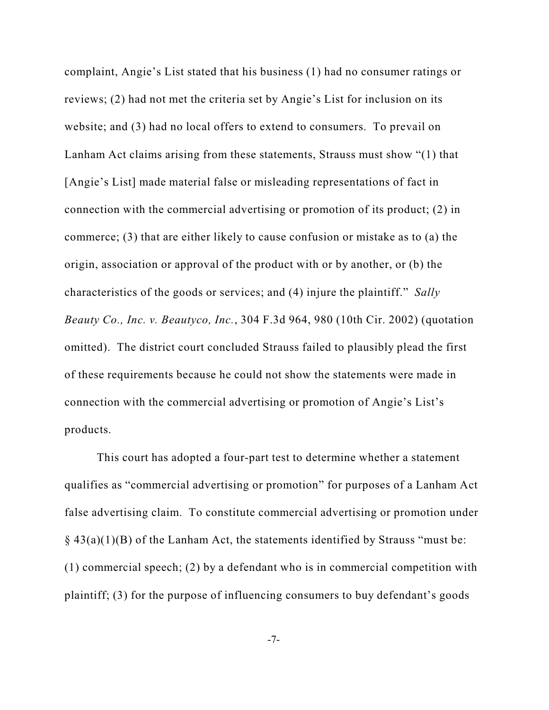complaint, Angie's List stated that his business (1) had no consumer ratings or reviews; (2) had not met the criteria set by Angie's List for inclusion on its website; and (3) had no local offers to extend to consumers. To prevail on Lanham Act claims arising from these statements, Strauss must show "(1) that [Angie's List] made material false or misleading representations of fact in connection with the commercial advertising or promotion of its product; (2) in commerce; (3) that are either likely to cause confusion or mistake as to (a) the origin, association or approval of the product with or by another, or (b) the characteristics of the goods or services; and (4) injure the plaintiff." *Sally Beauty Co., Inc. v. Beautyco, Inc.*, 304 F.3d 964, 980 (10th Cir. 2002) (quotation omitted). The district court concluded Strauss failed to plausibly plead the first of these requirements because he could not show the statements were made in connection with the commercial advertising or promotion of Angie's List's products.

This court has adopted a four-part test to determine whether a statement qualifies as "commercial advertising or promotion" for purposes of a Lanham Act false advertising claim. To constitute commercial advertising or promotion under  $\S$  43(a)(1)(B) of the Lanham Act, the statements identified by Strauss "must be: (1) commercial speech; (2) by a defendant who is in commercial competition with plaintiff; (3) for the purpose of influencing consumers to buy defendant's goods

-7-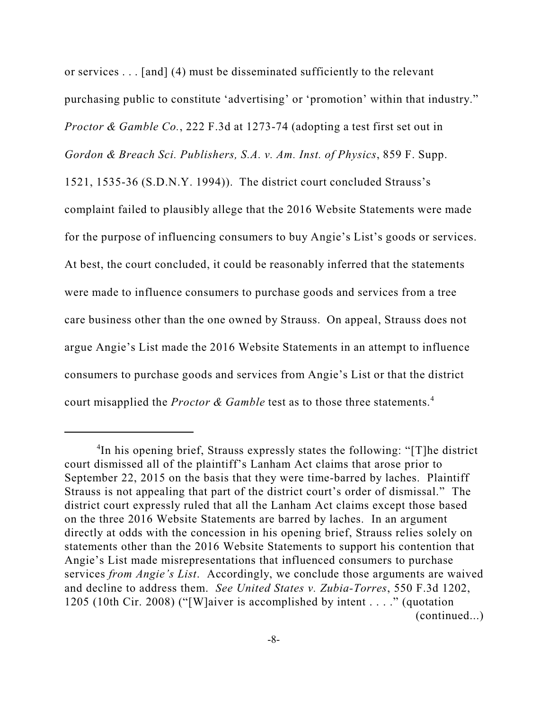or services . . . [and] (4) must be disseminated sufficiently to the relevant purchasing public to constitute 'advertising' or 'promotion' within that industry." *Proctor & Gamble Co.*, 222 F.3d at 1273-74 (adopting a test first set out in *Gordon & Breach Sci. Publishers, S.A. v. Am. Inst. of Physics*, 859 F. Supp.

1521, 1535-36 (S.D.N.Y. 1994)). The district court concluded Strauss's complaint failed to plausibly allege that the 2016 Website Statements were made for the purpose of influencing consumers to buy Angie's List's goods or services. At best, the court concluded, it could be reasonably inferred that the statements were made to influence consumers to purchase goods and services from a tree care business other than the one owned by Strauss. On appeal, Strauss does not argue Angie's List made the 2016 Website Statements in an attempt to influence consumers to purchase goods and services from Angie's List or that the district court misapplied the *Proctor & Gamble* test as to those three statements.<sup>4</sup>

<sup>4</sup> In his opening brief, Strauss expressly states the following: "[T]he district court dismissed all of the plaintiff's Lanham Act claims that arose prior to September 22, 2015 on the basis that they were time-barred by laches. Plaintiff Strauss is not appealing that part of the district court's order of dismissal." The district court expressly ruled that all the Lanham Act claims except those based on the three 2016 Website Statements are barred by laches. In an argument directly at odds with the concession in his opening brief, Strauss relies solely on statements other than the 2016 Website Statements to support his contention that Angie's List made misrepresentations that influenced consumers to purchase services *from Angie's List*. Accordingly, we conclude those arguments are waived and decline to address them. *See United States v. Zubia-Torres*, 550 F.3d 1202, 1205 (10th Cir. 2008) ("[W]aiver is accomplished by intent . . . ." (quotation (continued...)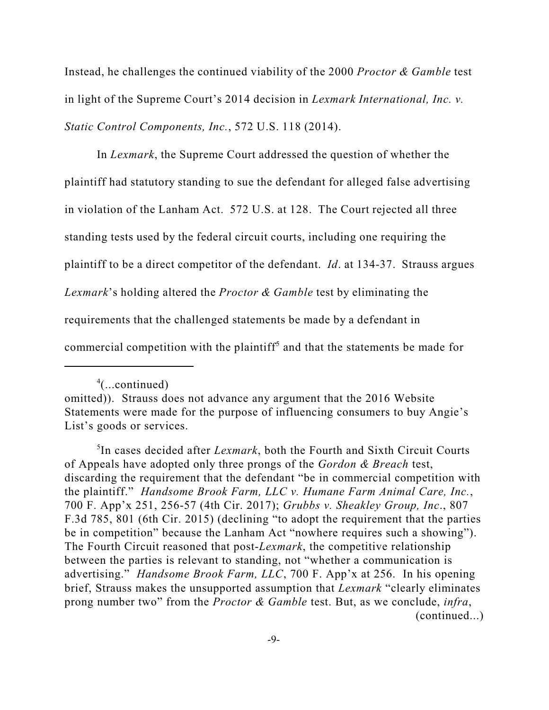Instead, he challenges the continued viability of the 2000 *Proctor & Gamble* test in light of the Supreme Court's 2014 decision in *Lexmark International, Inc. v. Static Control Components, Inc.*, 572 U.S. 118 (2014).

In *Lexmark*, the Supreme Court addressed the question of whether the plaintiff had statutory standing to sue the defendant for alleged false advertising in violation of the Lanham Act. 572 U.S. at 128. The Court rejected all three standing tests used by the federal circuit courts, including one requiring the plaintiff to be a direct competitor of the defendant. *Id*. at 134-37. Strauss argues *Lexmark*'s holding altered the *Proctor & Gamble* test by eliminating the requirements that the challenged statements be made by a defendant in commercial competition with the plaintiff<sup>5</sup> and that the statements be made for

<sup>4</sup> (...continued)

omitted)). Strauss does not advance any argument that the 2016 Website Statements were made for the purpose of influencing consumers to buy Angie's List's goods or services.

<sup>5</sup> In cases decided after *Lexmark*, both the Fourth and Sixth Circuit Courts of Appeals have adopted only three prongs of the *Gordon & Breach* test, discarding the requirement that the defendant "be in commercial competition with the plaintiff." *Handsome Brook Farm, LLC v. Humane Farm Animal Care, Inc.*, 700 F. App'x 251, 256-57 (4th Cir. 2017); *Grubbs v. Sheakley Group, Inc*., 807 F.3d 785, 801 (6th Cir. 2015) (declining "to adopt the requirement that the parties be in competition" because the Lanham Act "nowhere requires such a showing"). The Fourth Circuit reasoned that post-*Lexmark*, the competitive relationship between the parties is relevant to standing, not "whether a communication is advertising." *Handsome Brook Farm, LLC*, 700 F. App'x at 256. In his opening brief, Strauss makes the unsupported assumption that *Lexmark* "clearly eliminates prong number two" from the *Proctor & Gamble* test. But, as we conclude, *infra*, (continued...)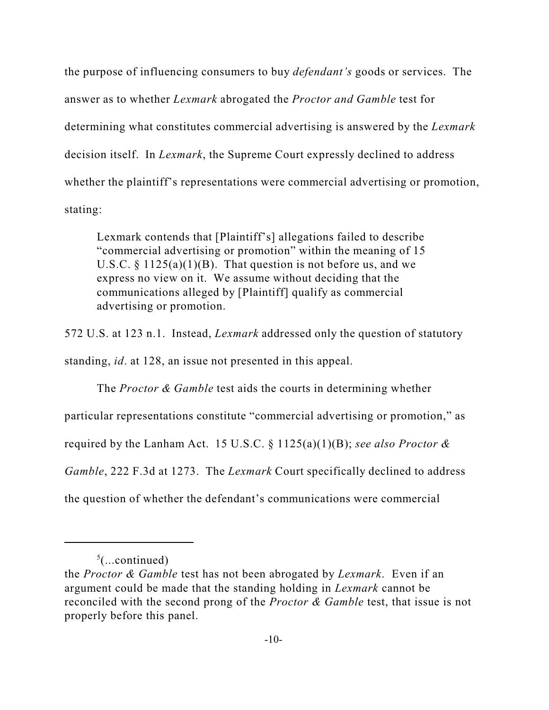the purpose of influencing consumers to buy *defendant's* goods or services. The answer as to whether *Lexmark* abrogated the *Proctor and Gamble* test for determining what constitutes commercial advertising is answered by the *Lexmark* decision itself. In *Lexmark*, the Supreme Court expressly declined to address whether the plaintiff's representations were commercial advertising or promotion, stating:

Lexmark contends that [Plaintiff's] allegations failed to describe "commercial advertising or promotion" within the meaning of 15 U.S.C.  $\S 1125(a)(1)(B)$ . That question is not before us, and we express no view on it. We assume without deciding that the communications alleged by [Plaintiff] qualify as commercial advertising or promotion.

572 U.S. at 123 n.1. Instead, *Lexmark* addressed only the question of statutory

standing, *id*. at 128, an issue not presented in this appeal.

The *Proctor & Gamble* test aids the courts in determining whether particular representations constitute "commercial advertising or promotion," as required by the Lanham Act. 15 U.S.C. § 1125(a)(1)(B); *see also Proctor & Gamble*, 222 F.3d at 1273. The *Lexmark* Court specifically declined to address the question of whether the defendant's communications were commercial

 $5$ (...continued)

the *Proctor & Gamble* test has not been abrogated by *Lexmark*. Even if an argument could be made that the standing holding in *Lexmark* cannot be reconciled with the second prong of the *Proctor & Gamble* test, that issue is not properly before this panel.